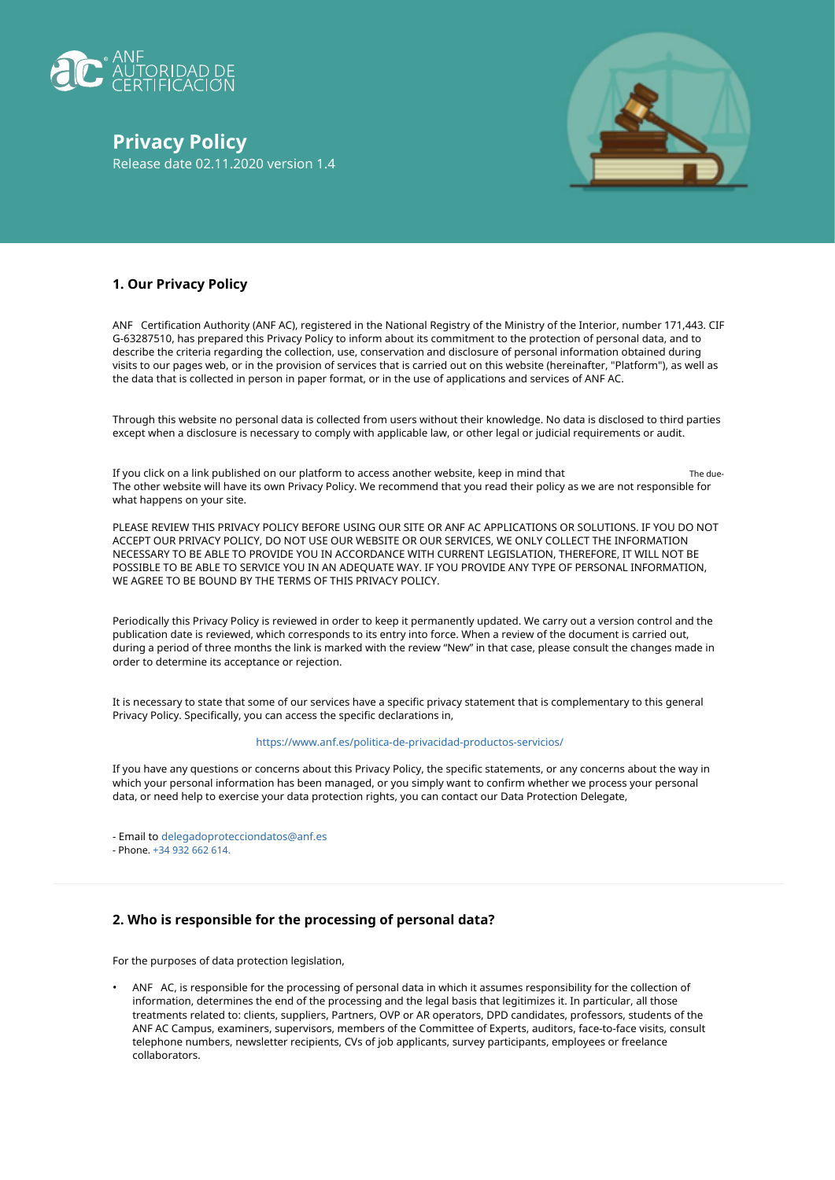

**Privacy Policy** Release date 02.11.2020 version 1.4



# **1. Our Privacy Policy**

ANF Certification Authority (ANF AC), registered in the National Registry of the Ministry of the Interior, number 171,443. CIF G-63287510, has prepared this Privacy Policy to inform about its commitment to the protection of personal data, and to describe the criteria regarding the collection, use, conservation and disclosure of personal information obtained during visits to our pages web, or in the provision of services that is carried out on this website (hereinafter, "Platform"), as well as the data that is collected in person in paper format, or in the use of applications and services of ANF AC.

Through this website no personal data is collected from users without their knowledge. No data is disclosed to third parties except when a disclosure is necessary to comply with applicable law, or other legal or judicial requirements or audit.

If you click on a link published on our platform to access another website, keep in mind that The other website will have its own Privacy Policy. We recommend that you read their policy as we are not responsible for what happens on your site. The due-

PLEASE REVIEW THIS PRIVACY POLICY BEFORE USING OUR SITE OR ANF AC APPLICATIONS OR SOLUTIONS. IF YOU DO NOT ACCEPT OUR PRIVACY POLICY, DO NOT USE OUR WEBSITE OR OUR SERVICES, WE ONLY COLLECT THE INFORMATION NECESSARY TO BE ABLE TO PROVIDE YOU IN ACCORDANCE WITH CURRENT LEGISLATION, THEREFORE, IT WILL NOT BE POSSIBLE TO BE ABLE TO SERVICE YOU IN AN ADEQUATE WAY. IF YOU PROVIDE ANY TYPE OF PERSONAL INFORMATION, WE AGREE TO BE BOUND BY THE TERMS OF THIS PRIVACY POLICY.

Periodically this Privacy Policy is reviewed in order to keep it permanently updated. We carry out a version control and the publication date is reviewed, which corresponds to its entry into force. When a review of the document is carried out, during a period of three months the link is marked with the review "New" in that case, please consult the changes made in order to determine its acceptance or rejection.

It is necessary to state that some of our services have a specific privacy statement that is complementary to this general Privacy Policy. Specifically, you can access the specific declarations in,

#### https://www.anf.es/politica-de-privacidad-productos-servicios/

If you have any questions or concerns about this Privacy Policy, the specific statements, or any concerns about the way in which your personal information has been managed, or you simply want to confirm whether we process your personal data, or need help to exercise your data protection rights, you can contact our Data Protection Delegate,

- Email to delegadoprotecciondatos@anf.es

- Phone. +34 932 662 614.

# **2. Who is responsible for the processing of personal data?**

For the purposes of data protection legislation,

• ANF AC, is responsible for the processing of personal data in which it assumes responsibility for the collection of information, determines the end of the processing and the legal basis that legitimizes it. In particular, all those treatments related to: clients, suppliers, Partners, OVP or AR operators, DPD candidates, professors, students of the ANF AC Campus, examiners, supervisors, members of the Committee of Experts, auditors, face-to-face visits, consult telephone numbers, newsletter recipients, CVs of job applicants, survey participants, employees or freelance collaborators.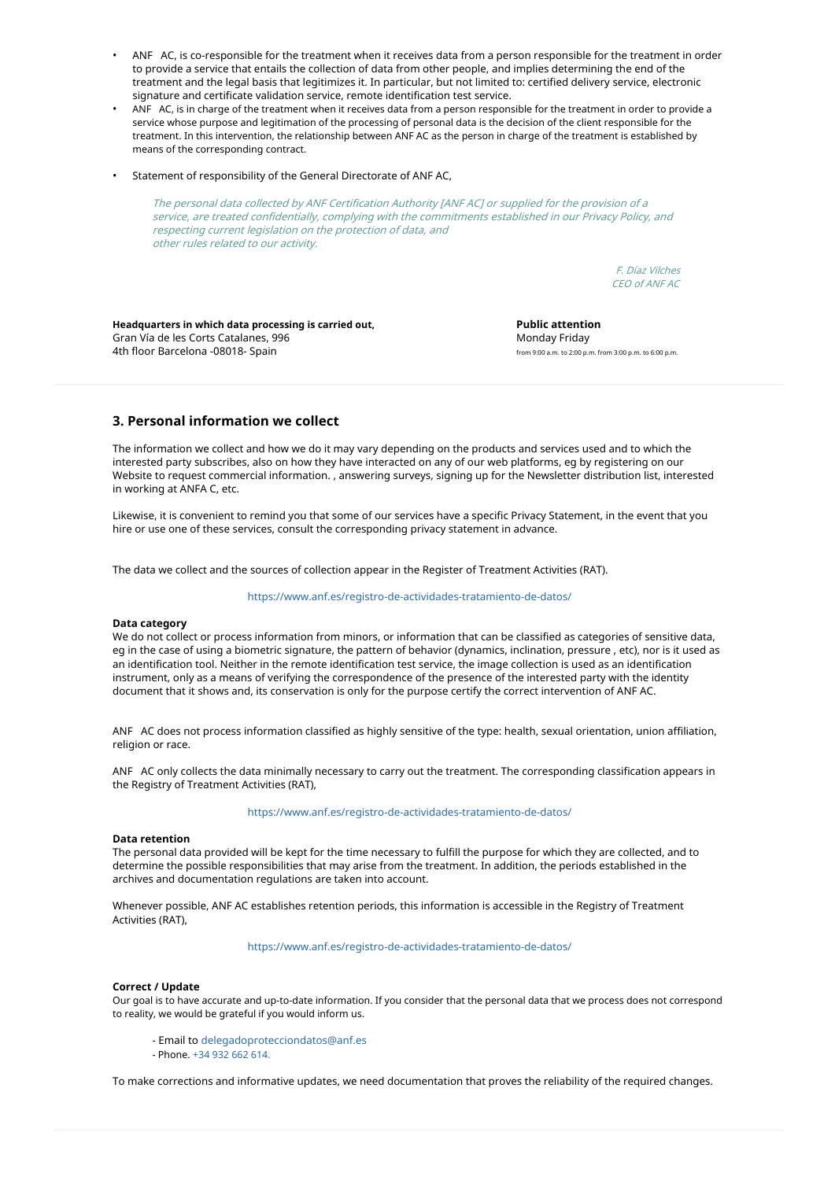- ANF AC, is co-responsible for the treatment when it receives data from a person responsible for the treatment in order to provide a service that entails the collection of data from other people, and implies determining the end of the treatment and the legal basis that legitimizes it. In particular, but not limited to: certified delivery service, electronic signature and certificate validation service, remote identification test service.
- ANF AC, is in charge of the treatment when it receives data from a person responsible for the treatment in order to provide a service whose purpose and legitimation of the processing of personal data is the decision of the client responsible for the treatment. In this intervention, the relationship between ANF AC as the person in charge of the treatment is established by means of the corresponding contract. •
- Statement of responsibility of the General Directorate of ANF AC,

The personal data collected by ANF Certification Authority [ANF AC] or supplied for the provision of a service, are treated confidentially, complying with the commitments established in our Privacy Policy, and respecting current legislation on the protection of data, and other rules related to our activity.

> F. Díaz Vilches CEO of ANF AC

**Headquarters in which data processing is carried out,** Gran Vía de les Corts Catalanes, 996 4th floor Barcelona -08018- Spain

**Public attention** Monday Friday from 9:00 a.m. to 2:00 p.m. from 3:00 p.m. to 6:00 p.m.

## **3. Personal information we collect**

The information we collect and how we do it may vary depending on the products and services used and to which the interested party subscribes, also on how they have interacted on any of our web platforms, eg by registering on our Website to request commercial information. , answering surveys, signing up for the Newsletter distribution list, interested in working at ANFA C, etc.

Likewise, it is convenient to remind you that some of our services have a specific Privacy Statement, in the event that you hire or use one of these services, consult the corresponding privacy statement in advance.

The data we collect and the sources of collection appear in the Register of Treatment Activities (RAT).

https://www.anf.es/registro-de-actividades-tratamiento-de-datos/

#### **Data category**

We do not collect or process information from minors, or information that can be classified as categories of sensitive data, eg in the case of using a biometric signature, the pattern of behavior (dynamics, inclination, pressure , etc), nor is it used as an identification tool. Neither in the remote identification test service, the image collection is used as an identification instrument, only as a means of verifying the correspondence of the presence of the interested party with the identity document that it shows and, its conservation is only for the purpose certify the correct intervention of ANF AC.

ANF AC does not process information classified as highly sensitive of the type: health, sexual orientation, union affiliation, religion or race.

ANF AC only collects the data minimally necessary to carry out the treatment. The corresponding classification appears in the Registry of Treatment Activities (RAT),

#### https://www.anf.es/registro-de-actividades-tratamiento-de-datos/

#### **Data retention**

The personal data provided will be kept for the time necessary to fulfill the purpose for which they are collected, and to determine the possible responsibilities that may arise from the treatment. In addition, the periods established in the archives and documentation regulations are taken into account.

Whenever possible, ANF AC establishes retention periods, this information is accessible in the Registry of Treatment Activities (RAT),

https://www.anf.es/registro-de-actividades-tratamiento-de-datos/

#### **Correct / Update**

Our goal is to have accurate and up-to-date information. If you consider that the personal data that we process does not correspond to reality, we would be grateful if you would inform us.

- Email to delegadoprotecciondatos@anf.es
- Phone. +34 932 662 614.

To make corrections and informative updates, we need documentation that proves the reliability of the required changes.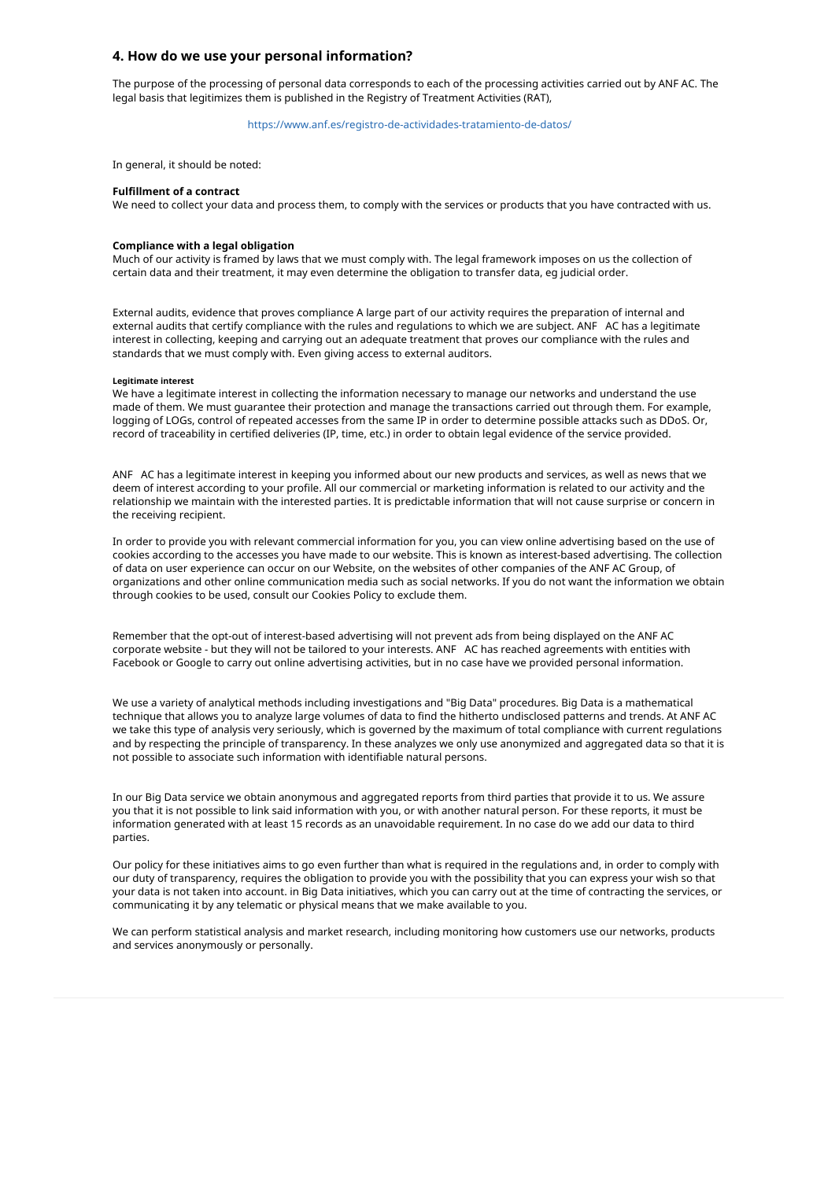## **4. How do we use your personal information?**

The purpose of the processing of personal data corresponds to each of the processing activities carried out by ANF AC. The legal basis that legitimizes them is published in the Registry of Treatment Activities (RAT),

## https://www.anf.es/registro-de-actividades-tratamiento-de-datos/

In general, it should be noted:

#### **Fulfillment of a contract**

We need to collect your data and process them, to comply with the services or products that you have contracted with us.

#### **Compliance with a legal obligation**

Much of our activity is framed by laws that we must comply with. The legal framework imposes on us the collection of certain data and their treatment, it may even determine the obligation to transfer data, eg judicial order.

External audits, evidence that proves compliance A large part of our activity requires the preparation of internal and external audits that certify compliance with the rules and regulations to which we are subject. ANF AC has a legitimate interest in collecting, keeping and carrying out an adequate treatment that proves our compliance with the rules and standards that we must comply with. Even giving access to external auditors.

#### **Legitimate interest**

We have a legitimate interest in collecting the information necessary to manage our networks and understand the use made of them. We must guarantee their protection and manage the transactions carried out through them. For example, logging of LOGs, control of repeated accesses from the same IP in order to determine possible attacks such as DDoS. Or, record of traceability in certified deliveries (IP, time, etc.) in order to obtain legal evidence of the service provided.

ANF AC has a legitimate interest in keeping you informed about our new products and services, as well as news that we deem of interest according to your profile. All our commercial or marketing information is related to our activity and the relationship we maintain with the interested parties. It is predictable information that will not cause surprise or concern in the receiving recipient.

In order to provide you with relevant commercial information for you, you can view online advertising based on the use of cookies according to the accesses you have made to our website. This is known as interest-based advertising. The collection of data on user experience can occur on our Website, on the websites of other companies of the ANF AC Group, of organizations and other online communication media such as social networks. If you do not want the information we obtain through cookies to be used, consult our Cookies Policy to exclude them.

Remember that the opt-out of interest-based advertising will not prevent ads from being displayed on the ANF AC corporate website - but they will not be tailored to your interests. ANF AC has reached agreements with entities with Facebook or Google to carry out online advertising activities, but in no case have we provided personal information.

We use a variety of analytical methods including investigations and "Big Data" procedures. Big Data is a mathematical technique that allows you to analyze large volumes of data to find the hitherto undisclosed patterns and trends. At ANF AC we take this type of analysis very seriously, which is governed by the maximum of total compliance with current regulations and by respecting the principle of transparency. In these analyzes we only use anonymized and aggregated data so that it is not possible to associate such information with identifiable natural persons.

In our Big Data service we obtain anonymous and aggregated reports from third parties that provide it to us. We assure you that it is not possible to link said information with you, or with another natural person. For these reports, it must be information generated with at least 15 records as an unavoidable requirement. In no case do we add our data to third parties.

Our policy for these initiatives aims to go even further than what is required in the regulations and, in order to comply with our duty of transparency, requires the obligation to provide you with the possibility that you can express your wish so that your data is not taken into account. in Big Data initiatives, which you can carry out at the time of contracting the services, or communicating it by any telematic or physical means that we make available to you.

We can perform statistical analysis and market research, including monitoring how customers use our networks, products and services anonymously or personally.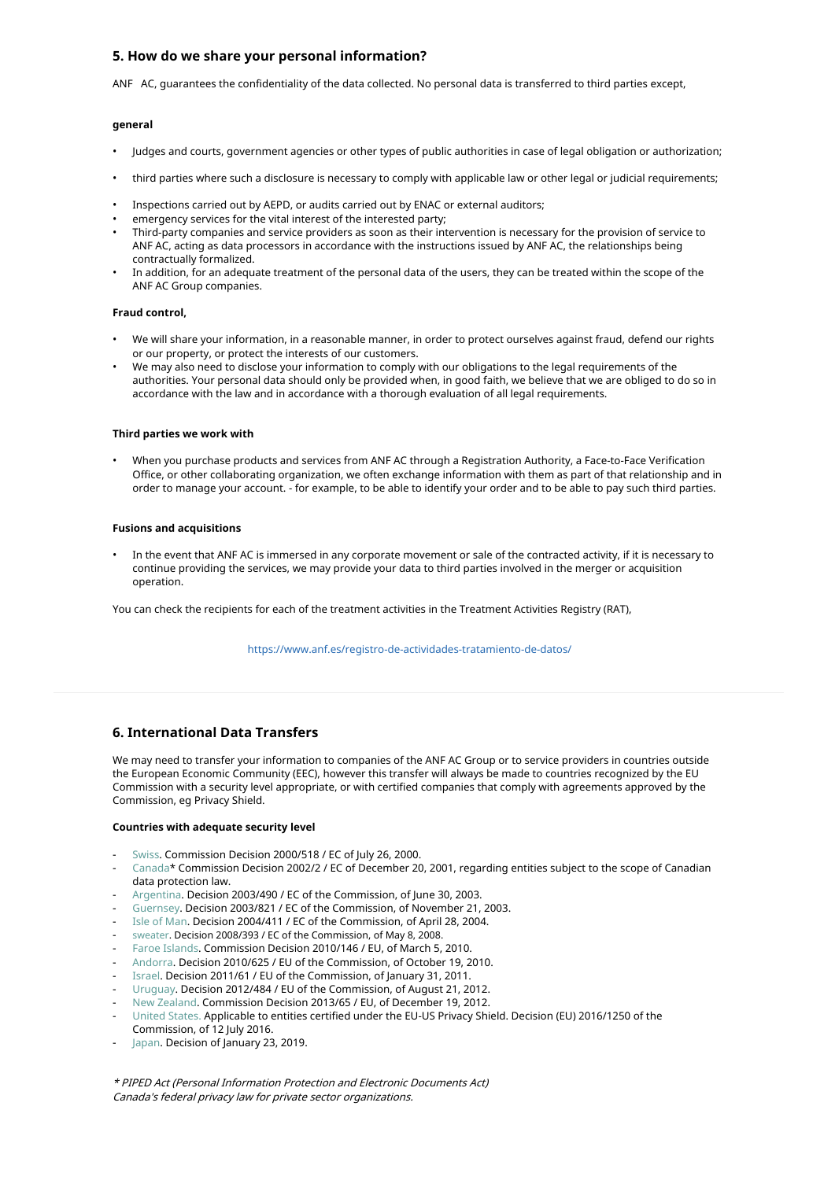# **5. How do we share your personal information?**

ANF AC, guarantees the confidentiality of the data collected. No personal data is transferred to third parties except,

#### **general**

- Judges and courts, government agencies or other types of public authorities in case of legal obligation or authorization;
- third parties where such a disclosure is necessary to comply with applicable law or other legal or judicial requirements;
- Inspections carried out by AEPD, or audits carried out by ENAC or external auditors; •
- emergency services for the vital interest of the interested party; •
- Third-party companies and service providers as soon as their intervention is necessary for the provision of service to ANF AC, acting as data processors in accordance with the instructions issued by ANF AC, the relationships being contractually formalized. •
- In addition, for an adequate treatment of the personal data of the users, they can be treated within the scope of the ANF AC Group companies. •

### **Fraud control,**

- We will share your information, in a reasonable manner, in order to protect ourselves against fraud, defend our rights or our property, or protect the interests of our customers.
- We may also need to disclose your information to comply with our obligations to the legal requirements of the authorities. Your personal data should only be provided when, in good faith, we believe that we are obliged to do so in accordance with the law and in accordance with a thorough evaluation of all legal requirements.

#### **Third parties we work with**

• When you purchase products and services from ANF AC through a Registration Authority, a Face-to-Face Verification Office, or other collaborating organization, we often exchange information with them as part of that relationship and in order to manage your account. - for example, to be able to identify your order and to be able to pay such third parties.

## **Fusions and acquisitions**

• In the event that ANF AC is immersed in any corporate movement or sale of the contracted activity, if it is necessary to continue providing the services, we may provide your data to third parties involved in the merger or acquisition operation.

You can check the recipients for each of the treatment activities in the Treatment Activities Registry (RAT),

https://www.anf.es/registro-de-actividades-tratamiento-de-datos/

# **6. International Data Transfers**

We may need to transfer your information to companies of the ANF AC Group or to service providers in countries outside the European Economic Community (EEC), however this transfer will always be made to countries recognized by the EU Commission with a security level appropriate, or with certified companies that comply with agreements approved by the Commission, eg Privacy Shield.

#### **Countries with adequate security level**

- Swiss. Commission Decision 2000/518 / EC of July 26, 2000.
- Canada\* Commission Decision 2002/2 / EC of December 20, 2001, regarding entities subject to the scope of Canadian data protection law.
- Argentina. Decision 2003/490 / EC of the Commission, of June 30, 2003. -
- Guernsey. Decision 2003/821 / EC of the Commission, of November 21, 2003. -
- Isle of Man. Decision 2004/411 / EC of the Commission, of April 28, 2004. -
- sweater. Decision 2008/393 / EC of the Commission, of May 8, 2008. -
- Faroe Islands. Commission Decision 2010/146 / EU, of March 5, 2010. -
- Andorra. Decision 2010/625 / EU of the Commission, of October 19, 2010. -
- Israel. Decision 2011/61 / EU of the Commission, of January 31, 2011. -
- Uruguay. Decision 2012/484 / EU of the Commission, of August 21, 2012. -
- New Zealand. Commission Decision 2013/65 / EU, of December 19, 2012. -
- United States. Applicable to entities certified under the EU-US Privacy Shield. Decision (EU) 2016/1250 of the Commission, of 12 July 2016. -
- Japan. Decision of January 23, 2019. -

\* PIPED Act (Personal Information Protection and Electronic Documents Act) Canada's federal privacy law for private sector organizations.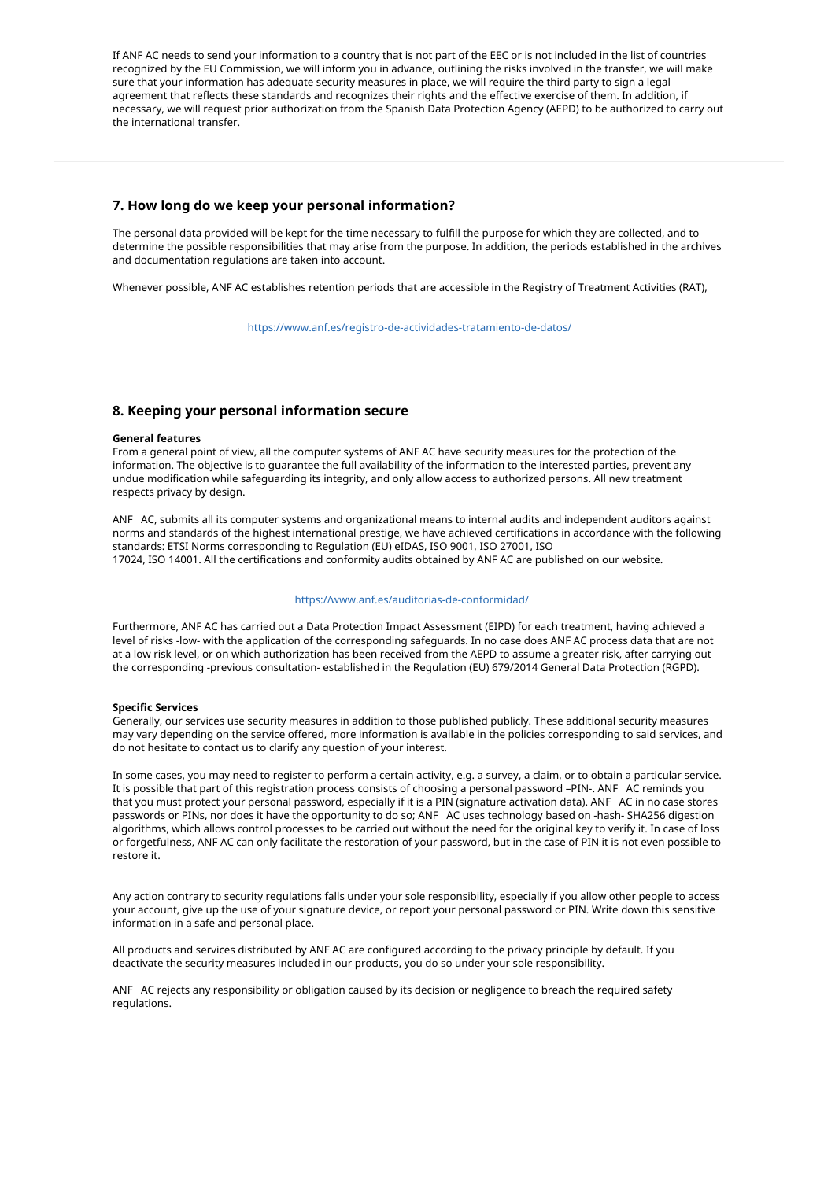If ANF AC needs to send your information to a country that is not part of the EEC or is not included in the list of countries recognized by the EU Commission, we will inform you in advance, outlining the risks involved in the transfer, we will make sure that your information has adequate security measures in place, we will require the third party to sign a legal agreement that reflects these standards and recognizes their rights and the effective exercise of them. In addition, if necessary, we will request prior authorization from the Spanish Data Protection Agency (AEPD) to be authorized to carry out the international transfer.

# **7. How long do we keep your personal information?**

The personal data provided will be kept for the time necessary to fulfill the purpose for which they are collected, and to determine the possible responsibilities that may arise from the purpose. In addition, the periods established in the archives and documentation regulations are taken into account.

Whenever possible, ANF AC establishes retention periods that are accessible in the Registry of Treatment Activities (RAT),

https://www.anf.es/registro-de-actividades-tratamiento-de-datos/

# **8. Keeping your personal information secure**

#### **General features**

From a general point of view, all the computer systems of ANF AC have security measures for the protection of the information. The objective is to guarantee the full availability of the information to the interested parties, prevent any undue modification while safeguarding its integrity, and only allow access to authorized persons. All new treatment respects privacy by design.

ANF AC, submits all its computer systems and organizational means to internal audits and independent auditors against norms and standards of the highest international prestige, we have achieved certifications in accordance with the following standards: ETSI Norms corresponding to Regulation (EU) eIDAS, ISO 9001, ISO 27001, ISO 17024, ISO 14001. All the certifications and conformity audits obtained by ANF AC are published on our website.

#### https://www.anf.es/auditorias-de-conformidad/

Furthermore, ANF AC has carried out a Data Protection Impact Assessment (EIPD) for each treatment, having achieved a level of risks -low- with the application of the corresponding safeguards. In no case does ANF AC process data that are not at a low risk level, or on which authorization has been received from the AEPD to assume a greater risk, after carrying out the corresponding -previous consultation- established in the Regulation (EU) 679/2014 General Data Protection (RGPD).

### **Specific Services**

Generally, our services use security measures in addition to those published publicly. These additional security measures may vary depending on the service offered, more information is available in the policies corresponding to said services, and do not hesitate to contact us to clarify any question of your interest.

In some cases, you may need to register to perform a certain activity, e.g. a survey, a claim, or to obtain a particular service. It is possible that part of this registration process consists of choosing a personal password –PIN-. ANF AC reminds you that you must protect your personal password, especially if it is a PIN (signature activation data). ANF AC in no case stores passwords or PINs, nor does it have the opportunity to do so; ANF AC uses technology based on -hash- SHA256 digestion algorithms, which allows control processes to be carried out without the need for the original key to verify it. In case of loss or forgetfulness, ANF AC can only facilitate the restoration of your password, but in the case of PIN it is not even possible to restore it.

Any action contrary to security regulations falls under your sole responsibility, especially if you allow other people to access your account, give up the use of your signature device, or report your personal password or PIN. Write down this sensitive information in a safe and personal place.

All products and services distributed by ANF AC are configured according to the privacy principle by default. If you deactivate the security measures included in our products, you do so under your sole responsibility.

ANF AC rejects any responsibility or obligation caused by its decision or negligence to breach the required safety regulations.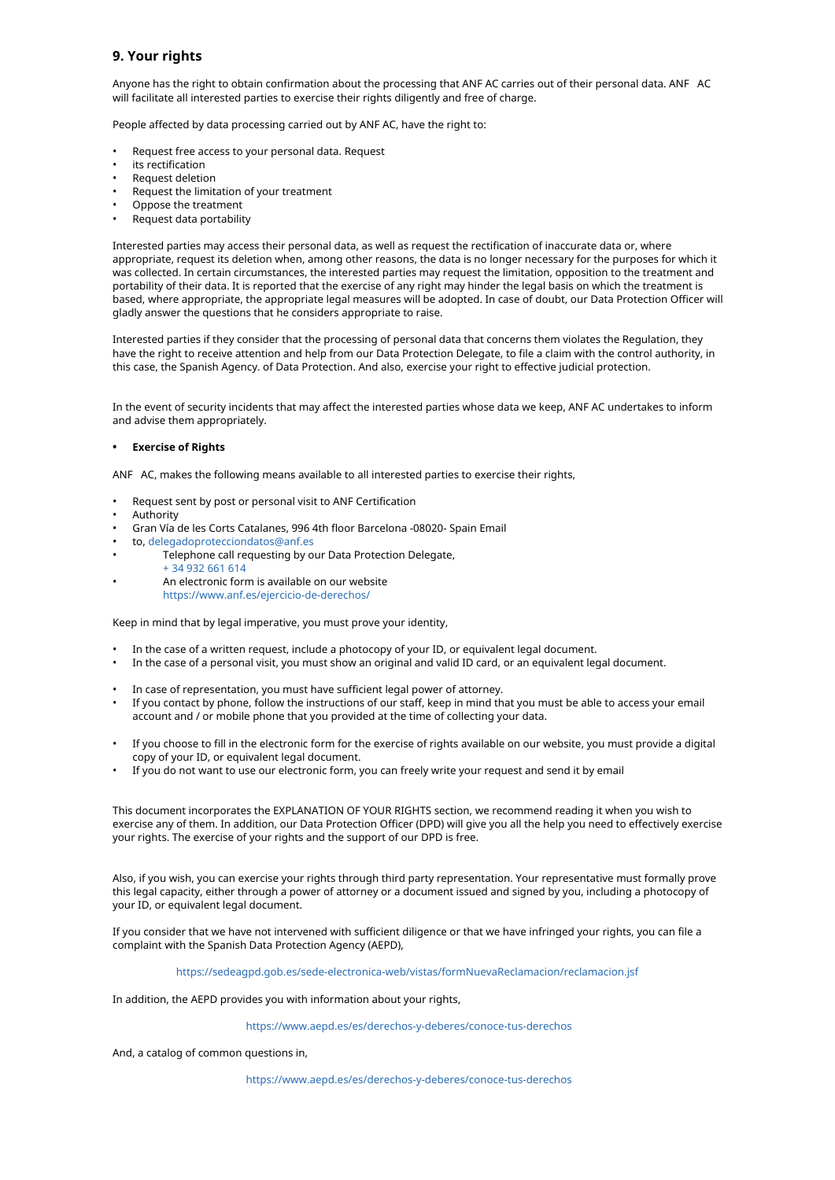# **9. Your rights**

Anyone has the right to obtain confirmation about the processing that ANF AC carries out of their personal data. ANF AC will facilitate all interested parties to exercise their rights diligently and free of charge.

People affected by data processing carried out by ANF AC, have the right to:

- Request free access to your personal data. Request
- its rectification
- Request deletion
- Request the limitation of your treatment
- Oppose the treatment
- Request data portability

Interested parties may access their personal data, as well as request the rectification of inaccurate data or, where appropriate, request its deletion when, among other reasons, the data is no longer necessary for the purposes for which it was collected. In certain circumstances, the interested parties may request the limitation, opposition to the treatment and portability of their data. It is reported that the exercise of any right may hinder the legal basis on which the treatment is based, where appropriate, the appropriate legal measures will be adopted. In case of doubt, our Data Protection Officer will gladly answer the questions that he considers appropriate to raise.

Interested parties if they consider that the processing of personal data that concerns them violates the Regulation, they have the right to receive attention and help from our Data Protection Delegate, to file a claim with the control authority, in this case, the Spanish Agency. of Data Protection. And also, exercise your right to effective judicial protection.

In the event of security incidents that may affect the interested parties whose data we keep, ANF AC undertakes to inform and advise them appropriately.

### **• Exercise of Rights**

ANF AC, makes the following means available to all interested parties to exercise their rights,

- Request sent by post or personal visit to ANF Certification
- Authority

•

- Gran Vía de les Corts Catalanes, 996 4th floor Barcelona -08020- Spain Email
- to, delegadoprotecciondatos@anf.es
- Telephone call requesting by our Data Protection Delegate,
	- + 34 932 661 614 An electronic form is available on our website
		- https://www.anf.es/ejercicio-de-derechos/

Keep in mind that by legal imperative, you must prove your identity,

- In the case of a written request, include a photocopy of your ID, or equivalent legal document.
- In the case of a personal visit, you must show an original and valid ID card, or an equivalent legal document.
- In case of representation, you must have sufficient legal power of attorney.
- If you contact by phone, follow the instructions of our staff, keep in mind that you must be able to access your email account and / or mobile phone that you provided at the time of collecting your data.
- If you choose to fill in the electronic form for the exercise of rights available on our website, you must provide a digital copy of your ID, or equivalent legal document. •
- If you do not want to use our electronic form, you can freely write your request and send it by email •

This document incorporates the EXPLANATION OF YOUR RIGHTS section, we recommend reading it when you wish to exercise any of them. In addition, our Data Protection Officer (DPD) will give you all the help you need to effectively exercise your rights. The exercise of your rights and the support of our DPD is free.

Also, if you wish, you can exercise your rights through third party representation. Your representative must formally prove this legal capacity, either through a power of attorney or a document issued and signed by you, including a photocopy of your ID, or equivalent legal document.

If you consider that we have not intervened with sufficient diligence or that we have infringed your rights, you can file a complaint with the Spanish Data Protection Agency (AEPD),

### https://sedeagpd.gob.es/sede-electronica-web/vistas/formNuevaReclamacion/reclamacion.jsf

In addition, the AEPD provides you with information about your rights,

https://www.aepd.es/es/derechos-y-deberes/conoce-tus-derechos

And, a catalog of common questions in,

https://www.aepd.es/es/derechos-y-deberes/conoce-tus-derechos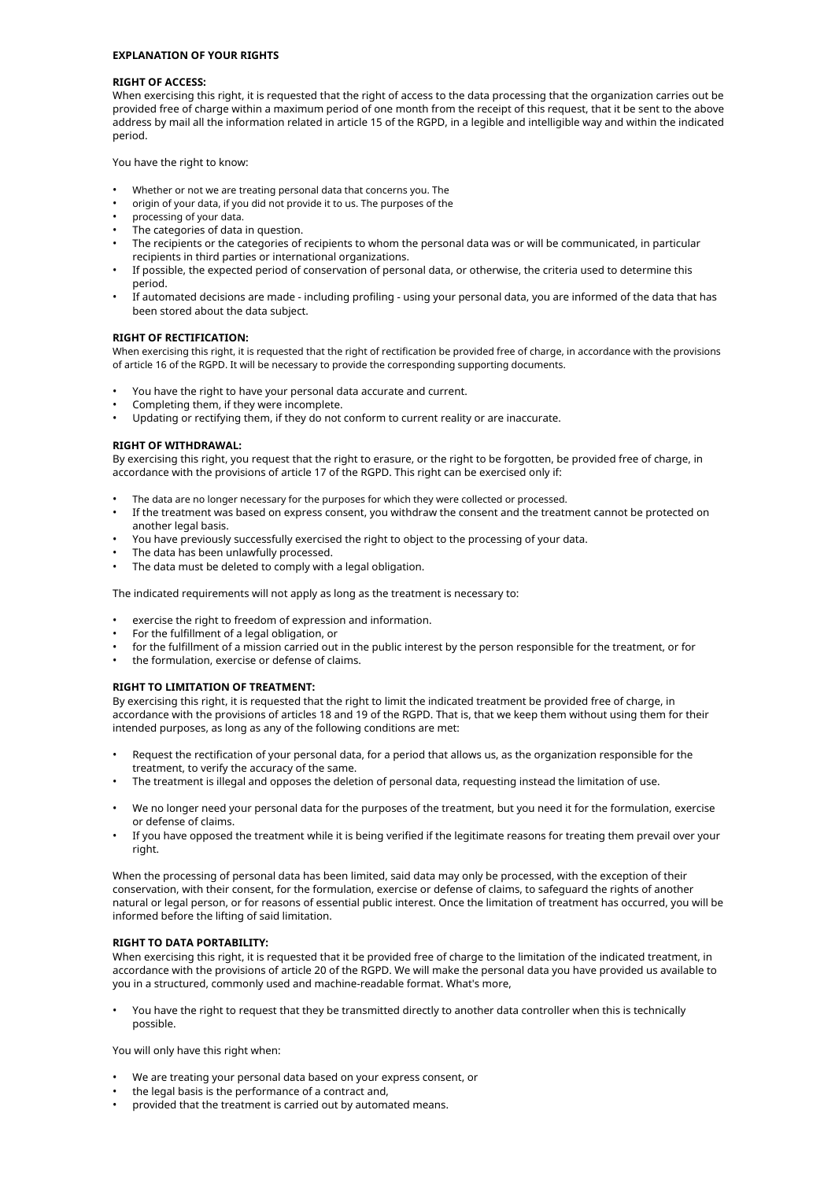#### **EXPLANATION OF YOUR RIGHTS**

### **RIGHT OF ACCESS:**

When exercising this right, it is requested that the right of access to the data processing that the organization carries out be provided free of charge within a maximum period of one month from the receipt of this request, that it be sent to the above address by mail all the information related in article 15 of the RGPD, in a legible and intelligible way and within the indicated period.

You have the right to know:

- Whether or not we are treating personal data that concerns you. The
- origin of your data, if you did not provide it to us. The purposes of the
- processing of your data.
- The categories of data in question.
- The recipients or the categories of recipients to whom the personal data was or will be communicated, in particular recipients in third parties or international organizations.
- If possible, the expected period of conservation of personal data, or otherwise, the criteria used to determine this period. •
- If automated decisions are made including profiling using your personal data, you are informed of the data that has been stored about the data subject. •

### **RIGHT OF RECTIFICATION:**

When exercising this right, it is requested that the right of rectification be provided free of charge, in accordance with the provisions of article 16 of the RGPD. It will be necessary to provide the corresponding supporting documents.

- You have the right to have your personal data accurate and current.
- Completing them, if they were incomplete.
- Updating or rectifying them, if they do not conform to current reality or are inaccurate.

#### **RIGHT OF WITHDRAWAL:**

By exercising this right, you request that the right to erasure, or the right to be forgotten, be provided free of charge, in accordance with the provisions of article 17 of the RGPD. This right can be exercised only if:

- The data are no longer necessary for the purposes for which they were collected or processed.
- If the treatment was based on express consent, you withdraw the consent and the treatment cannot be protected on another legal basis.
- You have previously successfully exercised the right to object to the processing of your data. •
- The data has been unlawfully processed. •
- The data must be deleted to comply with a legal obligation. •

The indicated requirements will not apply as long as the treatment is necessary to:

- exercise the right to freedom of expression and information.
- For the fulfillment of a legal obligation, or
- for the fulfillment of a mission carried out in the public interest by the person responsible for the treatment, or for
- the formulation, exercise or defense of claims.

### **RIGHT TO LIMITATION OF TREATMENT:**

By exercising this right, it is requested that the right to limit the indicated treatment be provided free of charge, in accordance with the provisions of articles 18 and 19 of the RGPD. That is, that we keep them without using them for their intended purposes, as long as any of the following conditions are met:

- Request the rectification of your personal data, for a period that allows us, as the organization responsible for the treatment, to verify the accuracy of the same.
- The treatment is illegal and opposes the deletion of personal data, requesting instead the limitation of use.
- We no longer need your personal data for the purposes of the treatment, but you need it for the formulation, exercise or defense of claims.
- If you have opposed the treatment while it is being verified if the legitimate reasons for treating them prevail over your right.

When the processing of personal data has been limited, said data may only be processed, with the exception of their conservation, with their consent, for the formulation, exercise or defense of claims, to safeguard the rights of another natural or legal person, or for reasons of essential public interest. Once the limitation of treatment has occurred, you will be informed before the lifting of said limitation.

### **RIGHT TO DATA PORTABILITY:**

When exercising this right, it is requested that it be provided free of charge to the limitation of the indicated treatment, in accordance with the provisions of article 20 of the RGPD. We will make the personal data you have provided us available to you in a structured, commonly used and machine-readable format. What's more,

• You have the right to request that they be transmitted directly to another data controller when this is technically possible.

You will only have this right when:

- We are treating your personal data based on your express consent, or
- the legal basis is the performance of a contract and,
- provided that the treatment is carried out by automated means.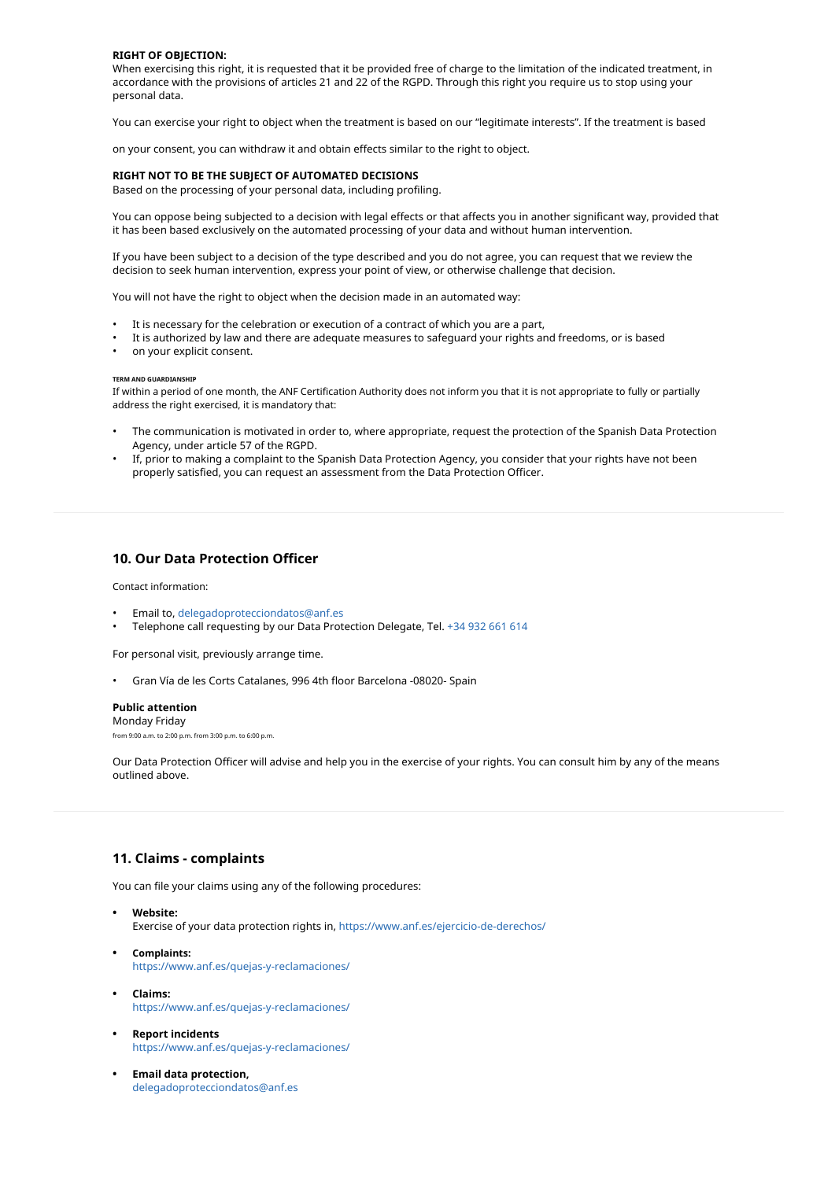#### **RIGHT OF OBJECTION:**

When exercising this right, it is requested that it be provided free of charge to the limitation of the indicated treatment, in accordance with the provisions of articles 21 and 22 of the RGPD. Through this right you require us to stop using your personal data.

You can exercise your right to object when the treatment is based on our "legitimate interests". If the treatment is based

on your consent, you can withdraw it and obtain effects similar to the right to object.

#### **RIGHT NOT TO BE THE SUBJECT OF AUTOMATED DECISIONS**

Based on the processing of your personal data, including profiling.

You can oppose being subjected to a decision with legal effects or that affects you in another significant way, provided that it has been based exclusively on the automated processing of your data and without human intervention.

If you have been subject to a decision of the type described and you do not agree, you can request that we review the decision to seek human intervention, express your point of view, or otherwise challenge that decision.

You will not have the right to object when the decision made in an automated way:

- It is necessary for the celebration or execution of a contract of which you are a part,
- It is authorized by law and there are adequate measures to safeguard your rights and freedoms, or is based
- on your explicit consent.

#### **TERM AND GUARDIANSHIP**

If within a period of one month, the ANF Certification Authority does not inform you that it is not appropriate to fully or partially address the right exercised, it is mandatory that:

- The communication is motivated in order to, where appropriate, request the protection of the Spanish Data Protection Agency, under article 57 of the RGPD.
- If, prior to making a complaint to the Spanish Data Protection Agency, you consider that your rights have not been properly satisfied, you can request an assessment from the Data Protection Officer.

## **10. Our Data Protection Officer**

Contact information:

- Email to, delegadoprotecciondatos@anf.es
- Telephone call requesting by our Data Protection Delegate, Tel. +34 932 661 614

For personal visit, previously arrange time.

• Gran Vía de les Corts Catalanes, 996 4th floor Barcelona -08020- Spain

#### **Public attention**

Monday Friday from 9:00 a.m. to 2:00 p.m. from 3:00 p.m. to 6:00 p.m.

Our Data Protection Officer will advise and help you in the exercise of your rights. You can consult him by any of the means outlined above.

# **11. Claims - complaints**

You can file your claims using any of the following procedures:

- **• Website:** Exercise of your data protection rights in, https://www.anf.es/ejercicio-de-derechos/
- **• Complaints:** https://www.anf.es/quejas-y-reclamaciones/
- **• Claims:** https://www.anf.es/quejas-y-reclamaciones/
- **• Report incidents** https://www.anf.es/quejas-y-reclamaciones/
- **• Email data protection,** delegadoprotecciondatos@anf.es